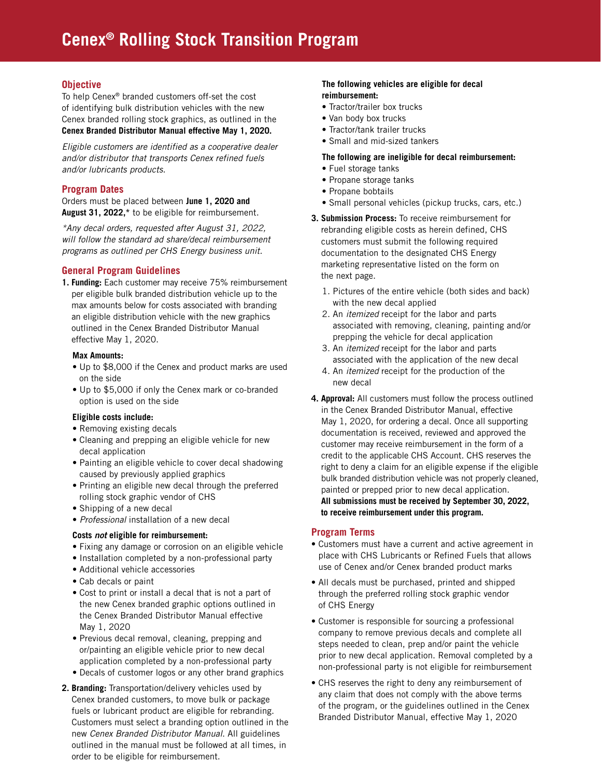#### **Objective**

To help Cenex® branded customers off-set the cost of identifying bulk distribution vehicles with the new Cenex branded rolling stock graphics, as outlined in the **Cenex Branded Distributor Manual effective May 1, 2020.**

*Eligible customers are identified as a cooperative dealer and/or distributor that transports Cenex refined fuels and/or lubricants products.*

#### **Program Dates**

Orders must be placed between **June 1, 2020 and August 31, 2022,\*** to be eligible for reimbursement.

*\*Any decal orders, requested after August 31, 2022, will follow the standard ad share/decal reimbursement programs as outlined per CHS Energy business unit.* 

#### **General Program Guidelines**

**1. Funding:** Each customer may receive 75% reimbursement per eligible bulk branded distribution vehicle up to the max amounts below for costs associated with branding an eligible distribution vehicle with the new graphics outlined in the Cenex Branded Distributor Manual effective May 1, 2020.

#### **Max Amounts:**

- Up to \$8,000 if the Cenex and product marks are used on the side
- Up to \$5,000 if only the Cenex mark or co-branded option is used on the side

#### **Eligible costs include:**

- Removing existing decals
- Cleaning and prepping an eligible vehicle for new decal application
- Painting an eligible vehicle to cover decal shadowing caused by previously applied graphics
- Printing an eligible new decal through the preferred rolling stock graphic vendor of CHS
- Shipping of a new decal
- *Professional* installation of a new decal

#### **Costs** *not* **eligible for reimbursement:**

- Fixing any damage or corrosion on an eligible vehicle
- Installation completed by a non-professional party
- Additional vehicle accessories
- Cab decals or paint
- Cost to print or install a decal that is not a part of the new Cenex branded graphic options outlined in the Cenex Branded Distributor Manual effective May 1, 2020
- Previous decal removal, cleaning, prepping and or/painting an eligible vehicle prior to new decal application completed by a non-professional party
- Decals of customer logos or any other brand graphics
- **2. Branding:** Transportation/delivery vehicles used by Cenex branded customers, to move bulk or package fuels or lubricant product are eligible for rebranding. Customers must select a branding option outlined in the new *Cenex Branded Distributor Manual*. All guidelines outlined in the manual must be followed at all times, in order to be eligible for reimbursement.

#### **The following vehicles are eligible for decal reimbursement:**

- Tractor/trailer box trucks
- Van body box trucks
- Tractor/tank trailer trucks
- Small and mid-sized tankers

#### **The following are ineligible for decal reimbursement:**

- Fuel storage tanks
- Propane storage tanks
- Propane bobtails
- Small personal vehicles (pickup trucks, cars, etc.)
- **3. Submission Process:** To receive reimbursement for rebranding eligible costs as herein defined, CHS customers must submit the following required documentation to the designated CHS Energy marketing representative listed on the form on the next page.
	- 1. Pictures of the entire vehicle (both sides and back) with the new decal applied
	- 2. An *itemized* receipt for the labor and parts associated with removing, cleaning, painting and/or prepping the vehicle for decal application
	- 3. An *itemized* receipt for the labor and parts associated with the application of the new decal
	- 4. An *itemized* receipt for the production of the new decal
- **4. Approval:** All customers must follow the process outlined in the Cenex Branded Distributor Manual, effective May 1, 2020, for ordering a decal. Once all supporting documentation is received, reviewed and approved the customer may receive reimbursement in the form of a credit to the applicable CHS Account. CHS reserves the right to deny a claim for an eligible expense if the eligible bulk branded distribution vehicle was not properly cleaned, painted or prepped prior to new decal application. **All submissions must be received by September 30, 2022, to receive reimbursement under this program.**

#### **Program Terms**

- Customers must have a current and active agreement in place with CHS Lubricants or Refined Fuels that allows use of Cenex and/or Cenex branded product marks
- All decals must be purchased, printed and shipped through the preferred rolling stock graphic vendor of CHS Energy
- Customer is responsible for sourcing a professional company to remove previous decals and complete all steps needed to clean, prep and/or paint the vehicle prior to new decal application. Removal completed by a non-professional party is not eligible for reimbursement
- CHS reserves the right to deny any reimbursement of any claim that does not comply with the above terms of the program, or the guidelines outlined in the Cenex Branded Distributor Manual, effective May 1, 2020